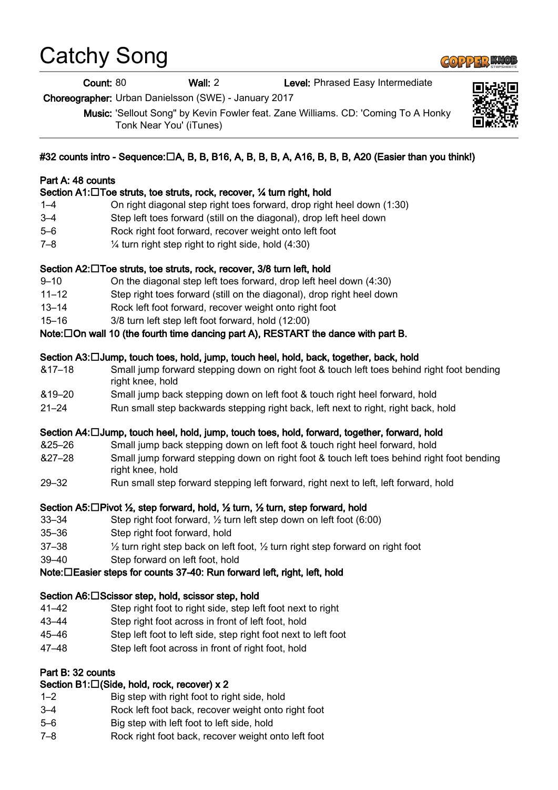# Catchy Song

Count: 80 Wall: 2 Level: Phrased Easy Intermediate

Choreographer: Urban Danielsson (SWE) - January 2017

Music: 'Sellout Song" by Kevin Fowler feat. Zane Williams. CD: 'Coming To A Honky Tonk Near You' (iTunes)

# #32 counts intro - Sequence: $\Box A$ , B, B, B16, A, B, B, B, A, A16, B, B, B, A20 (Easier than you think!)

#### Part A: 48 counts

#### Section A1:□Toe struts, toe struts, rock, recover, ¼ turn right, hold

- 1–4 On right diagonal step right toes forward, drop right heel down (1:30)
- 3–4 Step left toes forward (still on the diagonal), drop left heel down
- 5–6 Rock right foot forward, recover weight onto left foot
- 7–8 ¼ turn right step right to right side, hold (4:30)

#### Section A2:□Toe struts, toe struts, rock, recover, 3/8 turn left, hold

- 9–10 On the diagonal step left toes forward, drop left heel down (4:30)
- 11–12 Step right toes forward (still on the diagonal), drop right heel down
- 13–14 Rock left foot forward, recover weight onto right foot
- 15–16 3/8 turn left step left foot forward, hold (12:00)
- Note: $\Box$  On wall 10 (the fourth time dancing part A), RESTART the dance with part B.

#### Section A3: Jump, touch toes, hold, jump, touch heel, hold, back, together, back, hold

- &17–18 Small jump forward stepping down on right foot & touch left toes behind right foot bending right knee, hold
- &19–20 Small jump back stepping down on left foot & touch right heel forward, hold
- 21–24 Run small step backwards stepping right back, left next to right, right back, hold

#### Section A4: Jump, touch heel, hold, jump, touch toes, hold, forward, together, forward, hold

- &25–26 Small jump back stepping down on left foot & touch right heel forward, hold
- &27–28 Small jump forward stepping down on right foot & touch left toes behind right foot bending right knee, hold
- 29–32 Run small step forward stepping left forward, right next to left, left forward, hold

#### Section A5:□Pivot ½, step forward, hold, ½ turn, ½ turn, step forward, hold

- 33–34 Step right foot forward, ½ turn left step down on left foot (6:00)
- 35–36 Step right foot forward, hold
- 37–38 ½ turn right step back on left foot, ½ turn right step forward on right foot
- 39–40 Step forward on left foot, hold

#### Note: □ Easier steps for counts 37-40: Run forward left, right, left, hold

#### Section A6:□Scissor step, hold, scissor step, hold

- 41–42 Step right foot to right side, step left foot next to right
- 43–44 Step right foot across in front of left foot, hold
- 45–46 Step left foot to left side, step right foot next to left foot
- 47–48 Step left foot across in front of right foot, hold

#### Part B: 32 counts

#### Section B1: $\Box$  (Side, hold, rock, recover) x 2

- 1–2 Big step with right foot to right side, hold
- 3–4 Rock left foot back, recover weight onto right foot
- 5–6 Big step with left foot to left side, hold
- 7–8 Rock right foot back, recover weight onto left foot